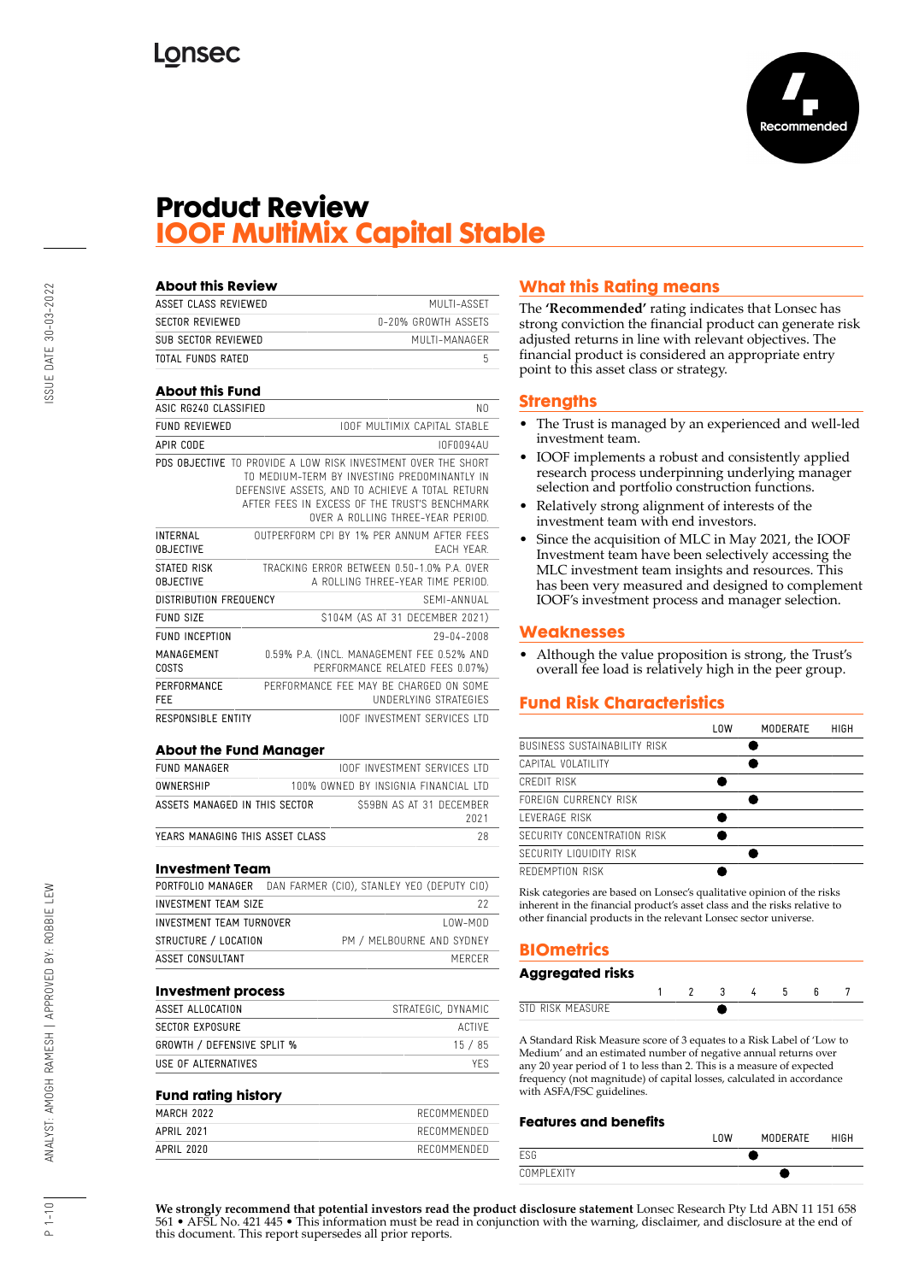

## **Product Review IOOF MultiMix Capital Stable**

| <b>About this Review</b>            |                                                                                                                                                                                                                                                        |
|-------------------------------------|--------------------------------------------------------------------------------------------------------------------------------------------------------------------------------------------------------------------------------------------------------|
| ASSET CLASS REVIEWED                | MULTI-ASSET                                                                                                                                                                                                                                            |
| <b>SECTOR REVIEWED</b>              | 0-20% GROWTH ASSETS                                                                                                                                                                                                                                    |
| SUB SECTOR REVIEWED                 | MUITI-MANAGER                                                                                                                                                                                                                                          |
| TOTAL FUNDS RATED                   | 5                                                                                                                                                                                                                                                      |
| <b>About this Fund</b>              |                                                                                                                                                                                                                                                        |
| ASIC RG240 CLASSIFIED               | NΩ                                                                                                                                                                                                                                                     |
| FUND REVIEWED                       | <b>IOOF MULTIMIX CAPITAL STABLE</b>                                                                                                                                                                                                                    |
| APIR CODE                           | <b>IOF0094AU</b>                                                                                                                                                                                                                                       |
|                                     | PDS OBJECTIVE TO PROVIDE A LOW RISK INVESTMENT OVER THE SHORT<br>TO MEDIUM-TERM BY INVESTING PREDOMINANTLY IN<br>DEFENSIVE ASSETS, AND TO ACHIEVE A TOTAL RETURN<br>AFTER FFFS IN EXCESS OF THE TRUST'S BENCHMARK<br>OVER A ROLLING THREE-YEAR PERIOD. |
| <b>INTERNAL</b><br><b>OBJECTIVE</b> | OUTPERFORM CPL BY 1% PER ANNUM AFTER FFFS<br><b>FACH YFAR</b>                                                                                                                                                                                          |
| STATED RISK<br><b>OBJECTIVE</b>     | TRACKING FRROR BETWEEN 0.50-1.0% PA OVER<br>A ROLLING THREE-YEAR TIME PERIOD.                                                                                                                                                                          |
| <b>DISTRIBUTION FREQUENCY</b>       | SFMI-ANNUAI                                                                                                                                                                                                                                            |
| FUND SIZE                           | \$104M (AS AT 31 DECEMBER 2021)                                                                                                                                                                                                                        |
| <b>FUND INCEPTION</b>               | 29-04-2008                                                                                                                                                                                                                                             |
| MANAGEMENT<br>COSTS                 | 0.59% P.A. (INCL. MANAGEMENT FEE 0.52% AND<br>PERFORMANCE RELATED FEES 0.07%)                                                                                                                                                                          |
| PERFORMANCE<br>FEE                  | PERFORMANCE FFF MAY BE CHARGED ON SOME<br>UNDERLYING STRATEGIES                                                                                                                                                                                        |
| RESPONSIBLE ENTITY                  | <b>IOOF INVESTMENT SERVICES LTD</b>                                                                                                                                                                                                                    |

#### **About the Fund Manager**

| FUND MANAGER                    | <b>IOOF INVESTMENT SERVICES LTD</b>  |
|---------------------------------|--------------------------------------|
| OWNERSHIP                       | 100% OWNED BY INSIGNIA FINANCIAL LTD |
| ASSETS MANAGED IN THIS SECTOR   | S59BN AS AT 31 DECEMBER<br>2021      |
| YEARS MANAGING THIS ASSET CLASS | 28                                   |

#### **Investment Team**

|                          | PORTFOLIO MANAGER DAN FARMER (CIO), STANLEY YEO (DEPUTY CIO) |
|--------------------------|--------------------------------------------------------------|
| INVESTMENT TEAM SIZE     | 22                                                           |
| INVESTMENT TEAM TURNOVER | $10W-M0D$                                                    |
| STRUCTURE / LOCATION     | PM / MELBOURNE AND SYDNEY                                    |
| ASSET CONSULTANT         | MERCER                                                       |
|                          |                                                              |

### **Investment process**

| STRATEGIC, DYNAMIC |
|--------------------|
| ACTIVE             |
| 15/85              |
| YFS.               |
|                    |

#### **Fund rating history**

| MARCH 2022 | RECOMMENDED |
|------------|-------------|
| APRIL 2021 | RECOMMENDED |
| APRIL 2020 | RECOMMENDED |
|            |             |

## **What this Rating means**

The **'Recommended'** rating indicates that Lonsec has strong conviction the financial product can generate risk adjusted returns in line with relevant objectives. The financial product is considered an appropriate entry point to this asset class or strategy.

#### **Strengths**

- The Trust is managed by an experienced and well-led investment team.
- IOOF implements a robust and consistently applied research process underpinning underlying manager selection and portfolio construction functions.
- Relatively strong alignment of interests of the investment team with end investors.
- Since the acquisition of MLC in May 2021, the IOOF Investment team have been selectively accessing the MLC investment team insights and resources. This has been very measured and designed to complement IOOF's investment process and manager selection.

### **Weaknesses**

• Although the value proposition is strong, the Trust's overall fee load is relatively high in the peer group.

## **Fund Risk Characteristics**

|                              | l OW | <b>MODERATE</b> | HIGH |
|------------------------------|------|-----------------|------|
| BUSINESS SUSTAINABILITY RISK |      |                 |      |
| CAPITAL VOLATILITY           |      |                 |      |
| CREDIT RISK                  |      |                 |      |
| FOREIGN CURRENCY RISK        |      |                 |      |
| <b>I FVERAGE RISK</b>        |      |                 |      |
| SECURITY CONCENTRATION RISK  |      |                 |      |
| SECURITY LIQUIDITY RISK      |      |                 |      |
| REDEMPTION RISK              |      |                 |      |
|                              |      |                 |      |

Risk categories are based on Lonsec's qualitative opinion of the risks inherent in the financial product's asset class and the risks relative to other financial products in the relevant Lonsec sector universe.

## **BIOmetrics**

| Aggregated risks |  |  |  |  |
|------------------|--|--|--|--|
|                  |  |  |  |  |
| STD RISK MEASURE |  |  |  |  |

A Standard Risk Measure score of 3 equates to a Risk Label of 'Low to Medium' and an estimated number of negative annual returns over any 20 year period of 1 to less than 2. This is a measure of expected frequency (not magnitude) of capital losses, calculated in accordance with ASFA/FSC guidelines.

#### **Features and benefits**

|            | <b>LOW</b> | <b>MODERATE</b> | <b>HIGH</b> |
|------------|------------|-----------------|-------------|
| ESG        |            |                 |             |
| COMPLEXITY |            |                 |             |

**We strongly recommend that potential investors read the product disclosure statement** Lonsec Research Pty Ltd ABN 11 151 658 561 • AFSL No. 421 445 • This information must be read in conjunction with the warning, disclaimer, and disclosure at the end of this document. This report supersedes all prior reports.

 $1 - 10$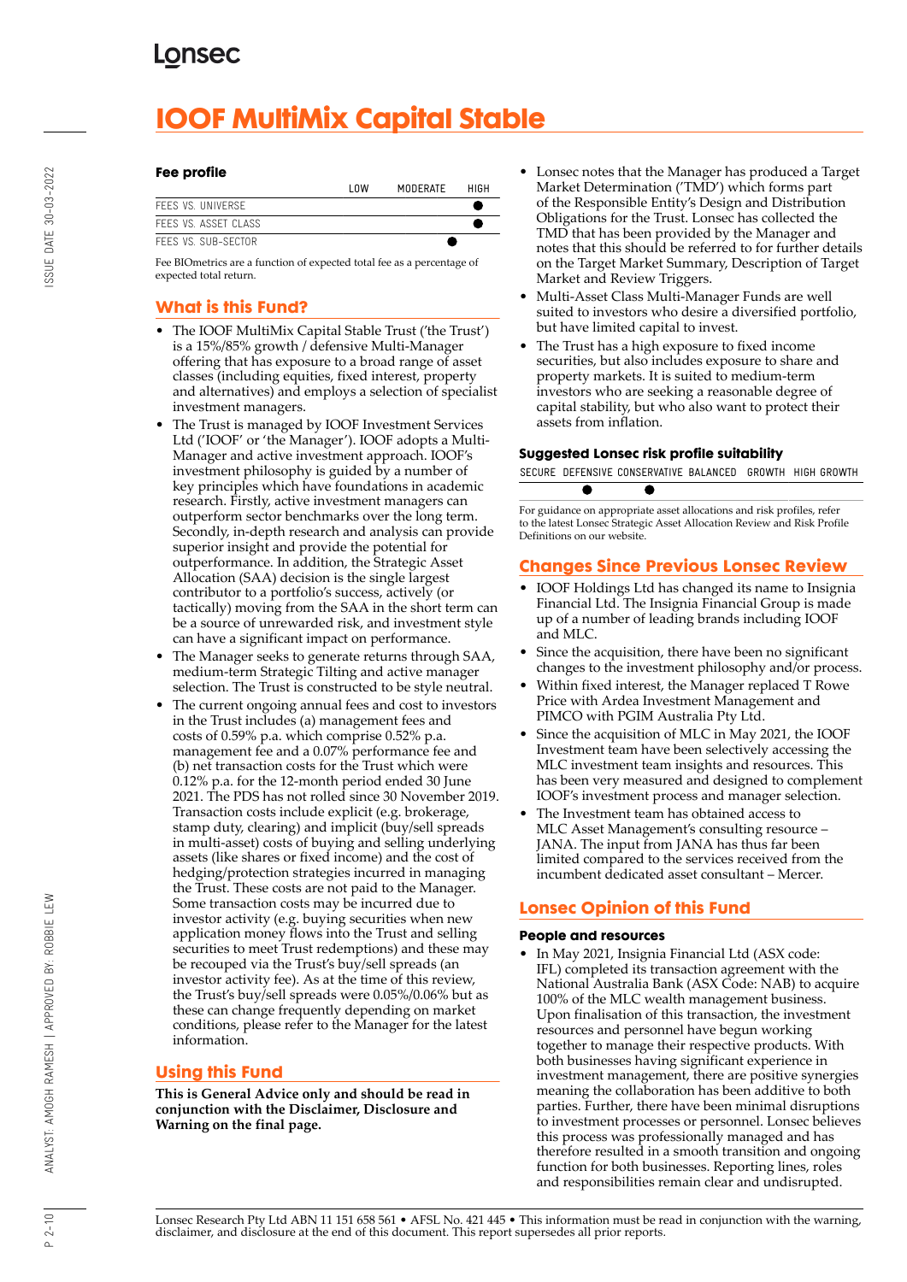# **IOOF MultiMix Capital Stable**

#### **Fee profile**

|                      | l nw | MODERATE | HIGH |
|----------------------|------|----------|------|
| FFFS VS. UNIVERSE    |      |          |      |
| FFFS VS. ASSFT CLASS |      |          |      |
| FFFS VS. SUB-SFCTOR. |      |          |      |

Fee BIOmetrics are a function of expected total fee as a percentage of expected total return.

## **What is this Fund?**

- The IOOF MultiMix Capital Stable Trust ('the Trust') is a 15%/85% growth / defensive Multi-Manager offering that has exposure to a broad range of asset classes (including equities, fixed interest, property and alternatives) and employs a selection of specialist investment managers.
- The Trust is managed by IOOF Investment Services Ltd ('IOOF' or 'the Manager'). IOOF adopts a Multi-Manager and active investment approach. IOOF's investment philosophy is guided by a number of key principles which have foundations in academic research. Firstly, active investment managers can outperform sector benchmarks over the long term. Secondly, in-depth research and analysis can provide superior insight and provide the potential for outperformance. In addition, the Strategic Asset Allocation (SAA) decision is the single largest contributor to a portfolio's success, actively (or tactically) moving from the SAA in the short term can be a source of unrewarded risk, and investment style can have a significant impact on performance.
- The Manager seeks to generate returns through SAA, medium-term Strategic Tilting and active manager selection. The Trust is constructed to be style neutral.
- The current ongoing annual fees and cost to investors in the Trust includes (a) management fees and costs of 0.59% p.a. which comprise 0.52% p.a. management fee and a 0.07% performance fee and (b) net transaction costs for the Trust which were 0.12% p.a. for the 12-month period ended 30 June 2021. The PDS has not rolled since 30 November 2019. Transaction costs include explicit (e.g. brokerage, stamp duty, clearing) and implicit (buy/sell spreads in multi-asset) costs of buying and selling underlying assets (like shares or fixed income) and the cost of hedging/protection strategies incurred in managing the Trust. These costs are not paid to the Manager. Some transaction costs may be incurred due to investor activity (e.g. buying securities when new application money flows into the Trust and selling securities to meet Trust redemptions) and these may be recouped via the Trust's buy/sell spreads (an investor activity fee). As at the time of this review, the Trust's buy/sell spreads were 0.05%/0.06% but as these can change frequently depending on market conditions, please refer to the Manager for the latest information.

## **Using this Fund**

**This is General Advice only and should be read in conjunction with the Disclaimer, Disclosure and Warning on the final page.**

- Lonsec notes that the Manager has produced a Target Market Determination ('TMD') which forms part of the Responsible Entity's Design and Distribution Obligations for the Trust. Lonsec has collected the TMD that has been provided by the Manager and notes that this should be referred to for further details on the Target Market Summary, Description of Target Market and Review Triggers.
- Multi-Asset Class Multi-Manager Funds are well suited to investors who desire a diversified portfolio, but have limited capital to invest.
- The Trust has a high exposure to fixed income securities, but also includes exposure to share and property markets. It is suited to medium-term investors who are seeking a reasonable degree of capital stability, but who also want to protect their assets from inflation.

### **Suggested Lonsec risk profile suitability**



For guidance on appropriate asset allocations and risk profiles, refer to the latest Lonsec Strategic Asset Allocation Review and Risk Profile Definitions on our website.

## **Changes Since Previous Lonsec Review**

- IOOF Holdings Ltd has changed its name to Insignia Financial Ltd. The Insignia Financial Group is made up of a number of leading brands including IOOF and MLC.
- Since the acquisition, there have been no significant changes to the investment philosophy and/or process.
- Within fixed interest, the Manager replaced T Rowe Price with Ardea Investment Management and PIMCO with PGIM Australia Pty Ltd.
- Since the acquisition of MLC in May 2021, the IOOF Investment team have been selectively accessing the MLC investment team insights and resources. This has been very measured and designed to complement IOOF's investment process and manager selection.
- The Investment team has obtained access to MLC Asset Management's consulting resource – JANA. The input from JANA has thus far been limited compared to the services received from the incumbent dedicated asset consultant – Mercer.

## **Lonsec Opinion of this Fund**

### **People and resources**

• In May 2021, Insignia Financial Ltd (ASX code: IFL) completed its transaction agreement with the National Australia Bank (ASX Code: NAB) to acquire 100% of the MLC wealth management business. Upon finalisation of this transaction, the investment resources and personnel have begun working together to manage their respective products. With both businesses having significant experience in investment management, there are positive synergies meaning the collaboration has been additive to both parties. Further, there have been minimal disruptions to investment processes or personnel. Lonsec believes this process was professionally managed and has therefore resulted in a smooth transition and ongoing function for both businesses. Reporting lines, roles and responsibilities remain clear and undisrupted.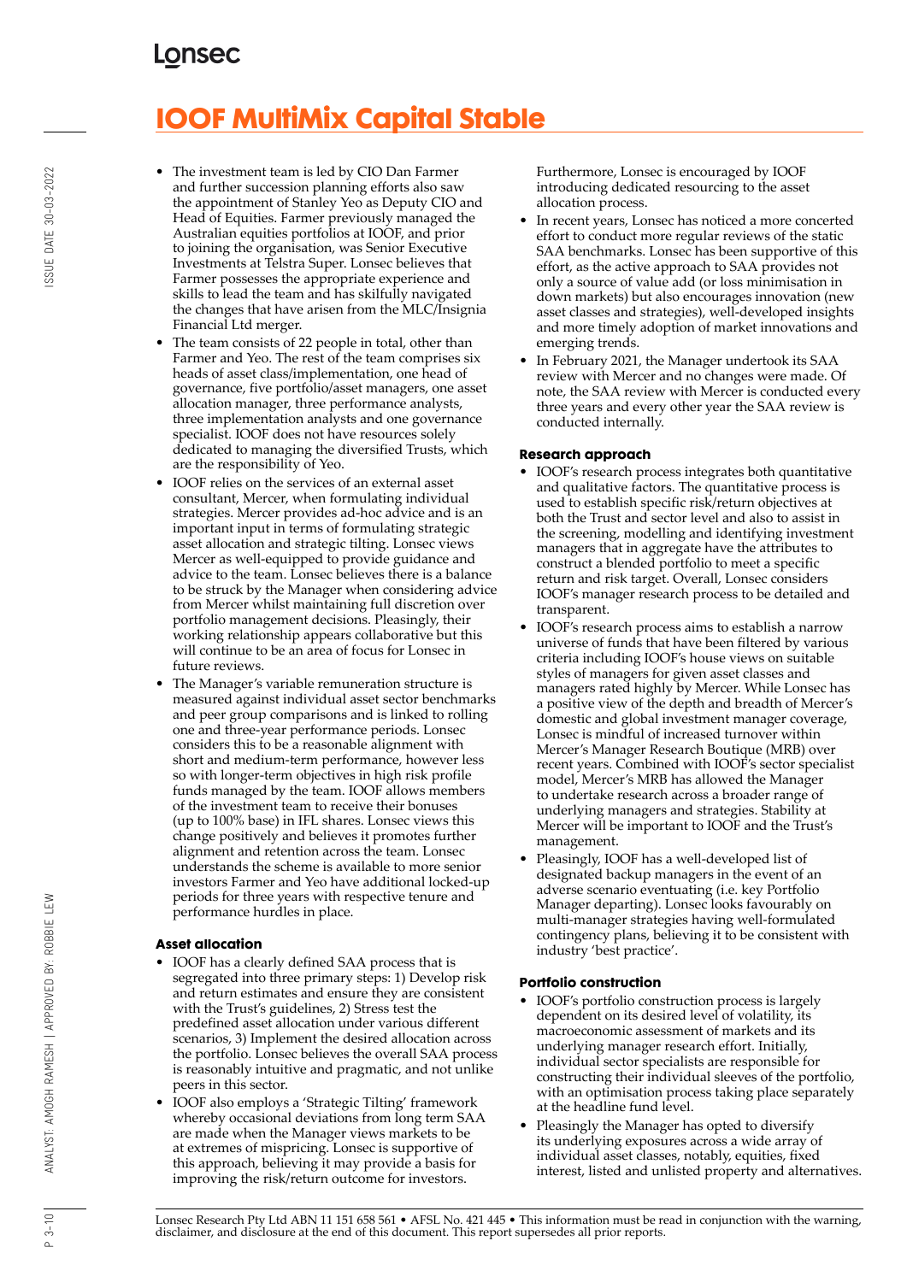# **IOOF MultiMix Capital Stable**

- The investment team is led by CIO Dan Farmer and further succession planning efforts also saw the appointment of Stanley Yeo as Deputy CIO and Head of Equities. Farmer previously managed the Australian equities portfolios at IOOF, and prior to joining the organisation, was Senior Executive Investments at Telstra Super. Lonsec believes that Farmer possesses the appropriate experience and skills to lead the team and has skilfully navigated the changes that have arisen from the MLC/Insignia Financial Ltd merger.
- The team consists of 22 people in total, other than Farmer and Yeo. The rest of the team comprises six heads of asset class/implementation, one head of governance, five portfolio/asset managers, one asset allocation manager, three performance analysts, three implementation analysts and one governance specialist. IOOF does not have resources solely dedicated to managing the diversified Trusts, which are the responsibility of Yeo.
- IOOF relies on the services of an external asset consultant, Mercer, when formulating individual strategies. Mercer provides ad-hoc advice and is an important input in terms of formulating strategic asset allocation and strategic tilting. Lonsec views Mercer as well-equipped to provide guidance and advice to the team. Lonsec believes there is a balance to be struck by the Manager when considering advice from Mercer whilst maintaining full discretion over portfolio management decisions. Pleasingly, their working relationship appears collaborative but this will continue to be an area of focus for Lonsec in future reviews.
- The Manager's variable remuneration structure is measured against individual asset sector benchmarks and peer group comparisons and is linked to rolling one and three-year performance periods. Lonsec considers this to be a reasonable alignment with short and medium-term performance, however less so with longer-term objectives in high risk profile funds managed by the team. IOOF allows members of the investment team to receive their bonuses (up to 100% base) in IFL shares. Lonsec views this change positively and believes it promotes further alignment and retention across the team. Lonsec understands the scheme is available to more senior investors Farmer and Yeo have additional locked-up periods for three years with respective tenure and performance hurdles in place.

### **Asset allocation**

- IOOF has a clearly defined SAA process that is segregated into three primary steps: 1) Develop risk and return estimates and ensure they are consistent with the Trust's guidelines, 2) Stress test the predefined asset allocation under various different scenarios, 3) Implement the desired allocation across the portfolio. Lonsec believes the overall SAA process is reasonably intuitive and pragmatic, and not unlike peers in this sector.
- IOOF also employs a 'Strategic Tilting' framework whereby occasional deviations from long term SAA are made when the Manager views markets to be at extremes of mispricing. Lonsec is supportive of this approach, believing it may provide a basis for improving the risk/return outcome for investors.

Furthermore, Lonsec is encouraged by IOOF introducing dedicated resourcing to the asset allocation process.

- In recent years, Lonsec has noticed a more concerted effort to conduct more regular reviews of the static SAA benchmarks. Lonsec has been supportive of this effort, as the active approach to SAA provides not only a source of value add (or loss minimisation in down markets) but also encourages innovation (new asset classes and strategies), well-developed insights and more timely adoption of market innovations and emerging trends.
- In February 2021, the Manager undertook its SAA review with Mercer and no changes were made. Of note, the SAA review with Mercer is conducted every three years and every other year the SAA review is conducted internally.

### **Research approach**

- IOOF's research process integrates both quantitative and qualitative factors. The quantitative process is used to establish specific risk/return objectives at both the Trust and sector level and also to assist in the screening, modelling and identifying investment managers that in aggregate have the attributes to construct a blended portfolio to meet a specific return and risk target. Overall, Lonsec considers IOOF's manager research process to be detailed and transparent.
- IOOF's research process aims to establish a narrow universe of funds that have been filtered by various criteria including IOOF's house views on suitable styles of managers for given asset classes and managers rated highly by Mercer. While Lonsec has a positive view of the depth and breadth of Mercer's domestic and global investment manager coverage, Lonsec is mindful of increased turnover within Mercer's Manager Research Boutique (MRB) over recent years. Combined with IOOF's sector specialist model, Mercer's MRB has allowed the Manager to undertake research across a broader range of underlying managers and strategies. Stability at Mercer will be important to IOOF and the Trust's management.
- Pleasingly, IOOF has a well-developed list of designated backup managers in the event of an adverse scenario eventuating (i.e. key Portfolio Manager departing). Lonsec looks favourably on multi-manager strategies having well-formulated contingency plans, believing it to be consistent with industry 'best practice'.

### **Portfolio construction**

- IOOF's portfolio construction process is largely dependent on its desired level of volatility, its macroeconomic assessment of markets and its underlying manager research effort. Initially, individual sector specialists are responsible for constructing their individual sleeves of the portfolio, with an optimisation process taking place separately at the headline fund level.
- Pleasingly the Manager has opted to diversify its underlying exposures across a wide array of individual asset classes, notably, equities, fixed interest, listed and unlisted property and alternatives.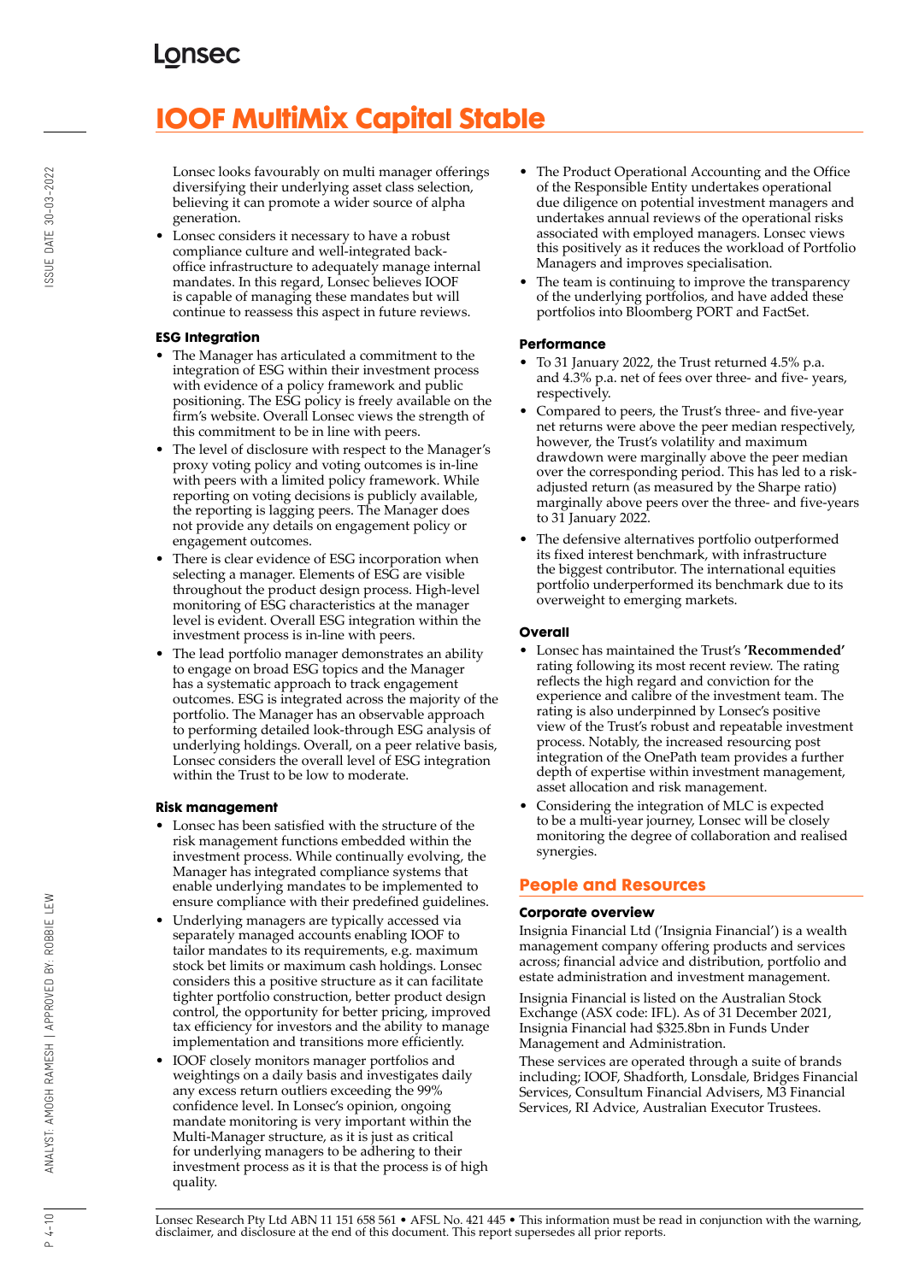# **IOOF MultiMix Capital Stable**

Lonsec looks favourably on multi manager offerings diversifying their underlying asset class selection, believing it can promote a wider source of alpha generation.

• Lonsec considers it necessary to have a robust compliance culture and well-integrated backoffice infrastructure to adequately manage internal mandates. In this regard, Lonsec believes IOOF is capable of managing these mandates but will continue to reassess this aspect in future reviews.

#### **ESG Integration**

- The Manager has articulated a commitment to the integration of ESG within their investment process with evidence of a policy framework and public positioning. The ESG policy is freely available on the firm's website. Overall Lonsec views the strength of this commitment to be in line with peers.
- The level of disclosure with respect to the Manager's proxy voting policy and voting outcomes is in-line with peers with a limited policy framework. While reporting on voting decisions is publicly available, the reporting is lagging peers. The Manager does not provide any details on engagement policy or engagement outcomes.
- There is clear evidence of ESG incorporation when selecting a manager. Elements of ESG are visible throughout the product design process. High-level monitoring of ESG characteristics at the manager level is evident. Overall ESG integration within the investment process is in-line with peers.
- The lead portfolio manager demonstrates an ability to engage on broad ESG topics and the Manager has a systematic approach to track engagement outcomes. ESG is integrated across the majority of the portfolio. The Manager has an observable approach to performing detailed look-through ESG analysis of underlying holdings. Overall, on a peer relative basis, Lonsec considers the overall level of ESG integration within the Trust to be low to moderate.

#### **Risk management**

- Lonsec has been satisfied with the structure of the risk management functions embedded within the investment process. While continually evolving, the Manager has integrated compliance systems that enable underlying mandates to be implemented to ensure compliance with their predefined guidelines.
- Underlying managers are typically accessed via separately managed accounts enabling IOOF to tailor mandates to its requirements, e.g. maximum stock bet limits or maximum cash holdings. Lonsec considers this a positive structure as it can facilitate tighter portfolio construction, better product design control, the opportunity for better pricing, improved tax efficiency for investors and the ability to manage implementation and transitions more efficiently.
- IOOF closely monitors manager portfolios and weightings on a daily basis and investigates daily any excess return outliers exceeding the 99% confidence level. In Lonsec's opinion, ongoing mandate monitoring is very important within the Multi-Manager structure, as it is just as critical for underlying managers to be adhering to their investment process as it is that the process is of high quality.
- The Product Operational Accounting and the Office of the Responsible Entity undertakes operational due diligence on potential investment managers and undertakes annual reviews of the operational risks associated with employed managers. Lonsec views this positively as it reduces the workload of Portfolio Managers and improves specialisation.
- The team is continuing to improve the transparency of the underlying portfolios, and have added these portfolios into Bloomberg PORT and FactSet.

### **Performance**

- To 31 January 2022, the Trust returned 4.5% p.a. and 4.3% p.a. net of fees over three- and five- years, respectively.
- Compared to peers, the Trust's three- and five-year net returns were above the peer median respectively, however, the Trust's volatility and maximum drawdown were marginally above the peer median over the corresponding period. This has led to a riskadjusted return (as measured by the Sharpe ratio) marginally above peers over the three- and five-years to 31 January 2022.
- The defensive alternatives portfolio outperformed its fixed interest benchmark, with infrastructure the biggest contributor. The international equities portfolio underperformed its benchmark due to its overweight to emerging markets.

#### **Overall**

- Lonsec has maintained the Trust's **'Recommended'** rating following its most recent review. The rating reflects the high regard and conviction for the experience and calibre of the investment team. The rating is also underpinned by Lonsec's positive view of the Trust's robust and repeatable investment process. Notably, the increased resourcing post integration of the OnePath team provides a further depth of expertise within investment management, asset allocation and risk management.
- Considering the integration of MLC is expected to be a multi-year journey, Lonsec will be closely monitoring the degree of collaboration and realised synergies.

## **People and Resources**

### **Corporate overview**

Insignia Financial Ltd ('Insignia Financial') is a wealth management company offering products and services across; financial advice and distribution, portfolio and estate administration and investment management.

Insignia Financial is listed on the Australian Stock Exchange (ASX code: IFL). As of 31 December 2021, Insignia Financial had \$325.8bn in Funds Under Management and Administration.

These services are operated through a suite of brands including; IOOF, Shadforth, Lonsdale, Bridges Financial Services, Consultum Financial Advisers, M3 Financial Services, RI Advice, Australian Executor Trustees.

 $P 4 - 10$ 

SSUE DATE 30-03-2022

Lonsec Research Pty Ltd ABN 11 151 658 561 • AFSL No. 421 445 • This information must be read in conjunction with the warning, disclaimer, and disclosure at the end of this document. This report supersedes all prior reports.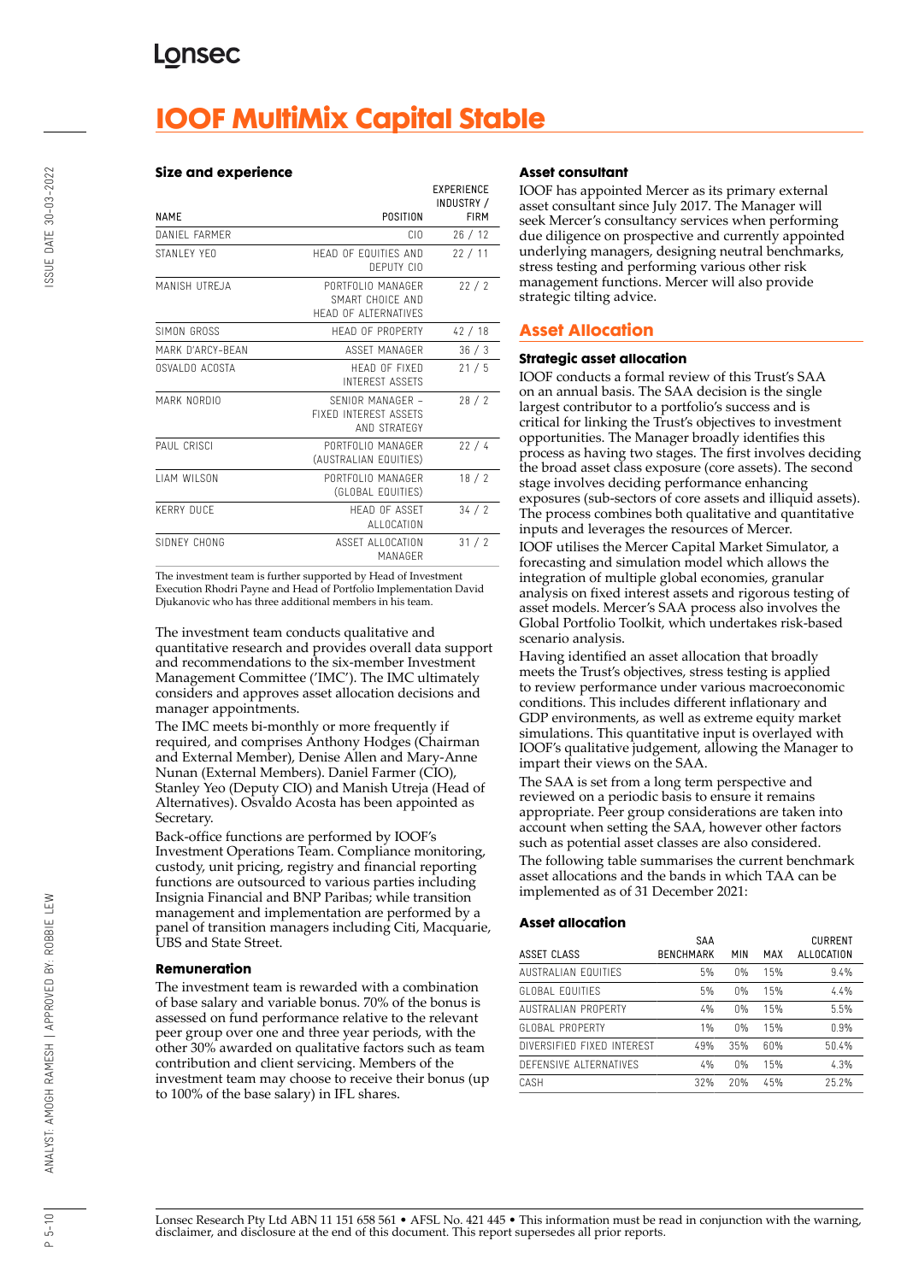## **IOOF MultiMix Capital Stable**

#### **Size and experience**

|                     |                                                               | <b>EXPERIENCE</b><br>INDUSTRY / |
|---------------------|---------------------------------------------------------------|---------------------------------|
| <b>NAMF</b>         | POSITION                                                      | <b>FIRM</b>                     |
| DANIFI FARMER       | CIO                                                           | 26/12                           |
| STANLEY YEO         | HEAD OF EQUITIES AND<br>DEPUTY CIO                            | 22/11                           |
| MANISH UTREJA       | PORTFOLIO MANAGER<br>SMART CHOICF AND<br>HEAD OF ALTERNATIVES | 22/2                            |
| SIMON GROSS         | HEAD OF PROPERTY                                              | 42/18                           |
| MARK D'ARCY-BEAN    | ASSFT MANAGER                                                 | 36/3                            |
| OSVALDO ACOSTA      | HEAD OF FIXED<br><b>INTEREST ASSETS</b>                       | 21/5                            |
| MARK NORDIO         | SENIOR MANAGER -<br>FIXED INTEREST ASSETS<br>AND STRATEGY     | 28/2                            |
| PAUL CRISCI         | PORTFOLIO MANAGER<br>(AUSTRALIAN EQUITIES)                    | 22/4                            |
| <b>I IAM WILSON</b> | PORTFOLIO MANAGER<br>(GLOBAL EQUITIES)                        | 18/2                            |
| <b>KERRY DUCF</b>   | <b>HFAD OF ASSFT</b><br><b>ALLOCATION</b>                     | 34/2                            |
| SIDNEY CHONG        | ASSET ALLOCATION<br>MANAGFR                                   | 31/2                            |

The investment team is further supported by Head of Investment Execution Rhodri Payne and Head of Portfolio Implementation David Djukanovic who has three additional members in his team.

The investment team conducts qualitative and quantitative research and provides overall data support and recommendations to the six-member Investment Management Committee ('IMC'). The IMC ultimately considers and approves asset allocation decisions and manager appointments.

The IMC meets bi-monthly or more frequently if required, and comprises Anthony Hodges (Chairman and External Member), Denise Allen and Mary-Anne Nunan (External Members). Daniel Farmer (CIO), Stanley Yeo (Deputy CIO) and Manish Utreja (Head of Alternatives). Osvaldo Acosta has been appointed as Secretary.

Back-office functions are performed by IOOF's Investment Operations Team. Compliance monitoring, custody, unit pricing, registry and financial reporting functions are outsourced to various parties including Insignia Financial and BNP Paribas; while transition management and implementation are performed by a panel of transition managers including Citi, Macquarie, UBS and State Street.

#### **Remuneration**

The investment team is rewarded with a combination of base salary and variable bonus. 70% of the bonus is assessed on fund performance relative to the relevant peer group over one and three year periods, with the other 30% awarded on qualitative factors such as team contribution and client servicing. Members of the investment team may choose to receive their bonus (up to 100% of the base salary) in IFL shares.

#### **Asset consultant**

IOOF has appointed Mercer as its primary external asset consultant since July 2017. The Manager will seek Mercer's consultancy services when performing due diligence on prospective and currently appointed underlying managers, designing neutral benchmarks, stress testing and performing various other risk management functions. Mercer will also provide strategic tilting advice.

## **Asset Allocation**

#### **Strategic asset allocation**

IOOF conducts a formal review of this Trust's SAA on an annual basis. The SAA decision is the single largest contributor to a portfolio's success and is critical for linking the Trust's objectives to investment opportunities. The Manager broadly identifies this process as having two stages. The first involves deciding the broad asset class exposure (core assets). The second stage involves deciding performance enhancing exposures (sub-sectors of core assets and illiquid assets). The process combines both qualitative and quantitative inputs and leverages the resources of Mercer.

IOOF utilises the Mercer Capital Market Simulator, a forecasting and simulation model which allows the integration of multiple global economies, granular analysis on fixed interest assets and rigorous testing of asset models. Mercer's SAA process also involves the Global Portfolio Toolkit, which undertakes risk-based scenario analysis.

Having identified an asset allocation that broadly meets the Trust's objectives, stress testing is applied to review performance under various macroeconomic conditions. This includes different inflationary and GDP environments, as well as extreme equity market simulations. This quantitative input is overlayed with IOOF's qualitative judgement, allowing the Manager to impart their views on the SAA.

The SAA is set from a long term perspective and reviewed on a periodic basis to ensure it remains appropriate. Peer group considerations are taken into account when setting the SAA, however other factors such as potential asset classes are also considered. The following table summarises the current benchmark asset allocations and the bands in which TAA can be

implemented as of 31 December 2021:

#### **Asset allocation**

|                            | SAA              |             |     | <b>CURRENT</b> |
|----------------------------|------------------|-------------|-----|----------------|
| ASSET CLASS                | <b>BENCHMARK</b> | MIN         | MAX | ALLOCATION     |
| AUSTRALIAN FOUITIES        | 5%               | $0\%$       | 15% | 9.4%           |
| <b>GLOBAL EQUITIFS</b>     | 5%               | $0\%$       | 15% | 4.4%           |
| AUSTRALIAN PROPERTY        | 4%               | $\bigcap$ % | 15% | 5.5%           |
| GLOBAL PROPERTY            | $1\%$            | 0%          | 15% | 0.9%           |
| DIVERSIFIED FIXED INTEREST | 49%              | 35%         | 60% | 50.4%          |
| DEFENSIVE ALTERNATIVES     | 4%               | $\bigcap$ % | 15% | 4.3%           |
| CASH                       | 32%              | 20%         | 45% | 252%           |

 $P 5 - 10$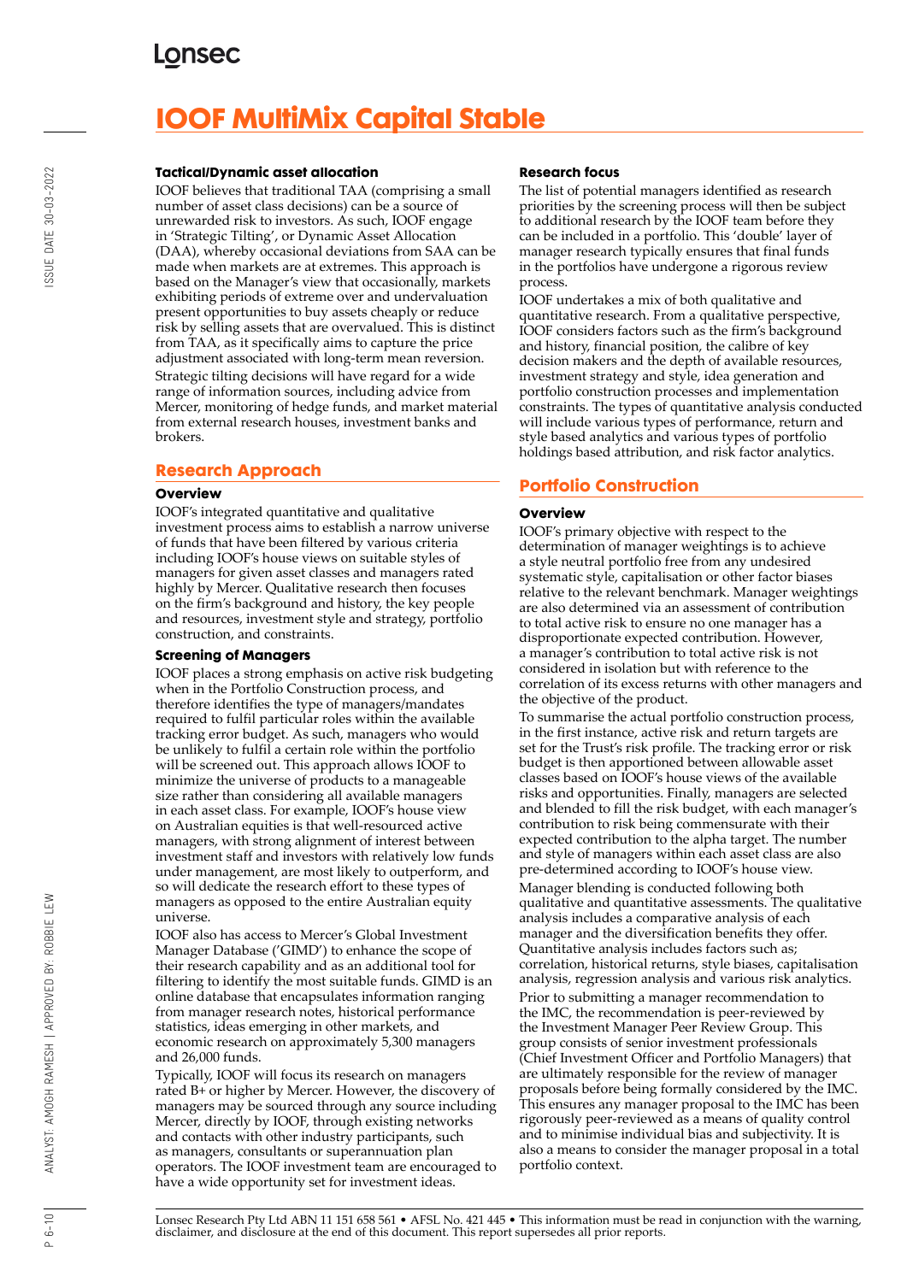## **IOOF MultiMix Capital Stable**

#### **Tactical/Dynamic asset allocation**

IOOF believes that traditional TAA (comprising a small number of asset class decisions) can be a source of unrewarded risk to investors. As such, IOOF engage in 'Strategic Tilting', or Dynamic Asset Allocation (DAA), whereby occasional deviations from SAA can be made when markets are at extremes. This approach is based on the Manager's view that occasionally, markets exhibiting periods of extreme over and undervaluation present opportunities to buy assets cheaply or reduce risk by selling assets that are overvalued. This is distinct from TAA, as it specifically aims to capture the price adjustment associated with long-term mean reversion. Strategic tilting decisions will have regard for a wide range of information sources, including advice from Mercer, monitoring of hedge funds, and market material from external research houses, investment banks and brokers.

### **Research Approach**

#### **Overview**

IOOF's integrated quantitative and qualitative investment process aims to establish a narrow universe of funds that have been filtered by various criteria including IOOF's house views on suitable styles of managers for given asset classes and managers rated highly by Mercer. Qualitative research then focuses on the firm's background and history, the key people and resources, investment style and strategy, portfolio construction, and constraints.

#### **Screening of Managers**

IOOF places a strong emphasis on active risk budgeting when in the Portfolio Construction process, and therefore identifies the type of managers/mandates required to fulfil particular roles within the available tracking error budget. As such, managers who would be unlikely to fulfil a certain role within the portfolio will be screened out. This approach allows IOOF to minimize the universe of products to a manageable size rather than considering all available managers in each asset class. For example, IOOF's house view on Australian equities is that well-resourced active managers, with strong alignment of interest between investment staff and investors with relatively low funds under management, are most likely to outperform, and so will dedicate the research effort to these types of managers as opposed to the entire Australian equity universe.

IOOF also has access to Mercer's Global Investment Manager Database ('GIMD') to enhance the scope of their research capability and as an additional tool for filtering to identify the most suitable funds. GIMD is an online database that encapsulates information ranging from manager research notes, historical performance statistics, ideas emerging in other markets, and economic research on approximately 5,300 managers and 26,000 funds.

Typically, IOOF will focus its research on managers rated B+ or higher by Mercer. However, the discovery of managers may be sourced through any source including Mercer, directly by IOOF, through existing networks and contacts with other industry participants, such as managers, consultants or superannuation plan operators. The IOOF investment team are encouraged to have a wide opportunity set for investment ideas.

#### **Research focus**

The list of potential managers identified as research priorities by the screening process will then be subject to additional research by the IOOF team before they can be included in a portfolio. This 'double' layer of manager research typically ensures that final funds in the portfolios have undergone a rigorous review process.

IOOF undertakes a mix of both qualitative and quantitative research. From a qualitative perspective, IOOF considers factors such as the firm's background and history, financial position, the calibre of key decision makers and the depth of available resources, investment strategy and style, idea generation and portfolio construction processes and implementation constraints. The types of quantitative analysis conducted will include various types of performance, return and style based analytics and various types of portfolio holdings based attribution, and risk factor analytics.

### **Portfolio Construction**

#### **Overview**

IOOF's primary objective with respect to the determination of manager weightings is to achieve a style neutral portfolio free from any undesired systematic style, capitalisation or other factor biases relative to the relevant benchmark. Manager weightings are also determined via an assessment of contribution to total active risk to ensure no one manager has a disproportionate expected contribution. However, a manager's contribution to total active risk is not considered in isolation but with reference to the correlation of its excess returns with other managers and the objective of the product.

To summarise the actual portfolio construction process, in the first instance, active risk and return targets are set for the Trust's risk profile. The tracking error or risk budget is then apportioned between allowable asset classes based on IOOF's house views of the available risks and opportunities. Finally, managers are selected and blended to fill the risk budget, with each manager's contribution to risk being commensurate with their expected contribution to the alpha target. The number and style of managers within each asset class are also pre-determined according to IOOF's house view. Manager blending is conducted following both qualitative and quantitative assessments. The qualitative analysis includes a comparative analysis of each manager and the diversification benefits they offer. Quantitative analysis includes factors such as; correlation, historical returns, style biases, capitalisation analysis, regression analysis and various risk analytics. Prior to submitting a manager recommendation to the IMC, the recommendation is peer-reviewed by the Investment Manager Peer Review Group. This group consists of senior investment professionals (Chief Investment Officer and Portfolio Managers) that are ultimately responsible for the review of manager proposals before being formally considered by the IMC. This ensures any manager proposal to the IMC has been rigorously peer-reviewed as a means of quality control and to minimise individual bias and subjectivity. It is also a means to consider the manager proposal in a total portfolio context.

Lonsec Research Pty Ltd ABN 11 151 658 561 • AFSL No. 421 445 • This information must be read in conjunction with the warning, disclaimer, and disclosure at the end of this document. This report supersedes all prior reports.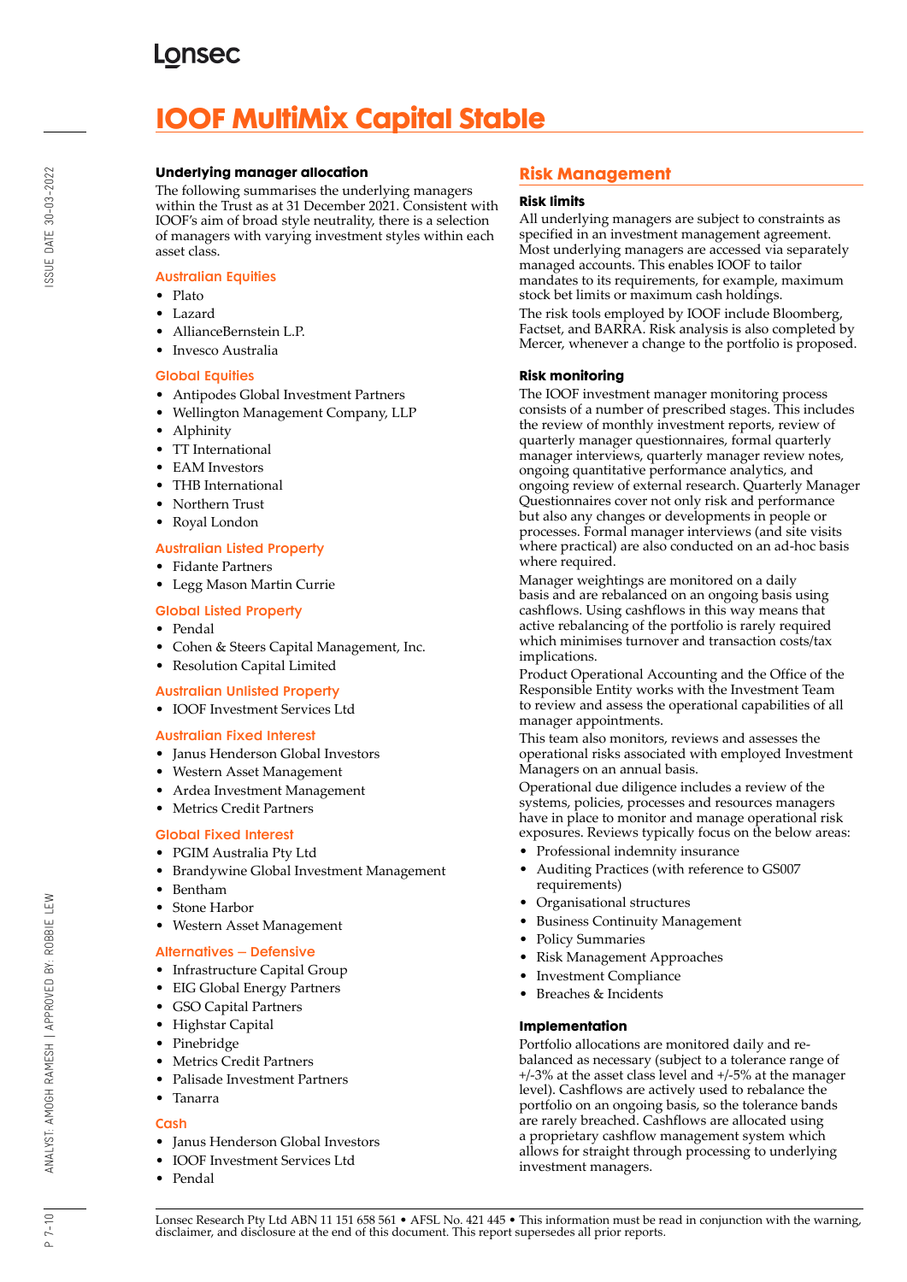# **IOOF MultiMix Capital Stable**

#### **Underlying manager allocation**

The following summarises the underlying managers within the Trust as at 31 December 2021. Consistent with IOOF's aim of broad style neutrality, there is a selection of managers with varying investment styles within each asset class.

#### Australian Equities

- Plato
- Lazard
- AllianceBernstein L.P.
- Invesco Australia

#### Global Equities

- Antipodes Global Investment Partners
- Wellington Management Company, LLP
- Alphinity
- TT International
- EAM Investors
- THB International
- Northern Trust
- Royal London

### Australian Listed Property

- Fidante Partners
- Legg Mason Martin Currie

#### Global Listed Property

- Pendal
- Cohen & Steers Capital Management, Inc.

## • Resolution Capital Limited

- Australian Unlisted Property
- IOOF Investment Services Ltd

#### Australian Fixed Interest

- Janus Henderson Global Investors
- Western Asset Management
- Ardea Investment Management
- Metrics Credit Partners

### Global Fixed Interest

- PGIM Australia Pty Ltd
- Brandywine Global Investment Management
- Bentham
- Stone Harbor
- Western Asset Management

### Alternatives – Defensive

- Infrastructure Capital Group
- EIG Global Energy Partners
- GSO Capital Partners
- Highstar Capital
- Pinebridge
- Metrics Credit Partners
- Palisade Investment Partners
- Tanarra

### **Cash**

- Janus Henderson Global Investors
- IOOF Investment Services Ltd
- Pendal

## **Risk Management**

#### **Risk limits**

All underlying managers are subject to constraints as specified in an investment management agreement. Most underlying managers are accessed via separately managed accounts. This enables IOOF to tailor mandates to its requirements, for example, maximum stock bet limits or maximum cash holdings.

The risk tools employed by IOOF include Bloomberg, Factset, and BARRA. Risk analysis is also completed by Mercer, whenever a change to the portfolio is proposed.

#### **Risk monitoring**

The IOOF investment manager monitoring process consists of a number of prescribed stages. This includes the review of monthly investment reports, review of quarterly manager questionnaires, formal quarterly manager interviews, quarterly manager review notes, ongoing quantitative performance analytics, and ongoing review of external research. Quarterly Manager Questionnaires cover not only risk and performance but also any changes or developments in people or processes. Formal manager interviews (and site visits where practical) are also conducted on an ad-hoc basis where required.

Manager weightings are monitored on a daily basis and are rebalanced on an ongoing basis using cashflows. Using cashflows in this way means that active rebalancing of the portfolio is rarely required which minimises turnover and transaction costs/tax implications.

Product Operational Accounting and the Office of the Responsible Entity works with the Investment Team to review and assess the operational capabilities of all manager appointments.

This team also monitors, reviews and assesses the operational risks associated with employed Investment Managers on an annual basis.

Operational due diligence includes a review of the systems, policies, processes and resources managers have in place to monitor and manage operational risk exposures. Reviews typically focus on the below areas:

- Professional indemnity insurance
- Auditing Practices (with reference to GS007 requirements)
- Organisational structures
- Business Continuity Management
- Policy Summaries
- Risk Management Approaches
- Investment Compliance
- Breaches & Incidents

### **Implementation**

Portfolio allocations are monitored daily and rebalanced as necessary (subject to a tolerance range of +/-3% at the asset class level and +/-5% at the manager level). Cashflows are actively used to rebalance the portfolio on an ongoing basis, so the tolerance bands are rarely breached. Cashflows are allocated using a proprietary cashflow management system which allows for straight through processing to underlying investment managers.

Lonsec Research Pty Ltd ABN 11 151 658 561 • AFSL No. 421 445 • This information must be read in conjunction with the warning, disclaimer, and disclosure at the end of this document. This report supersedes all prior reports.

 $P 7 - 10$ 

ANALYST: AMOGH RAMESH | APPROVED BY: ROBBIE LEW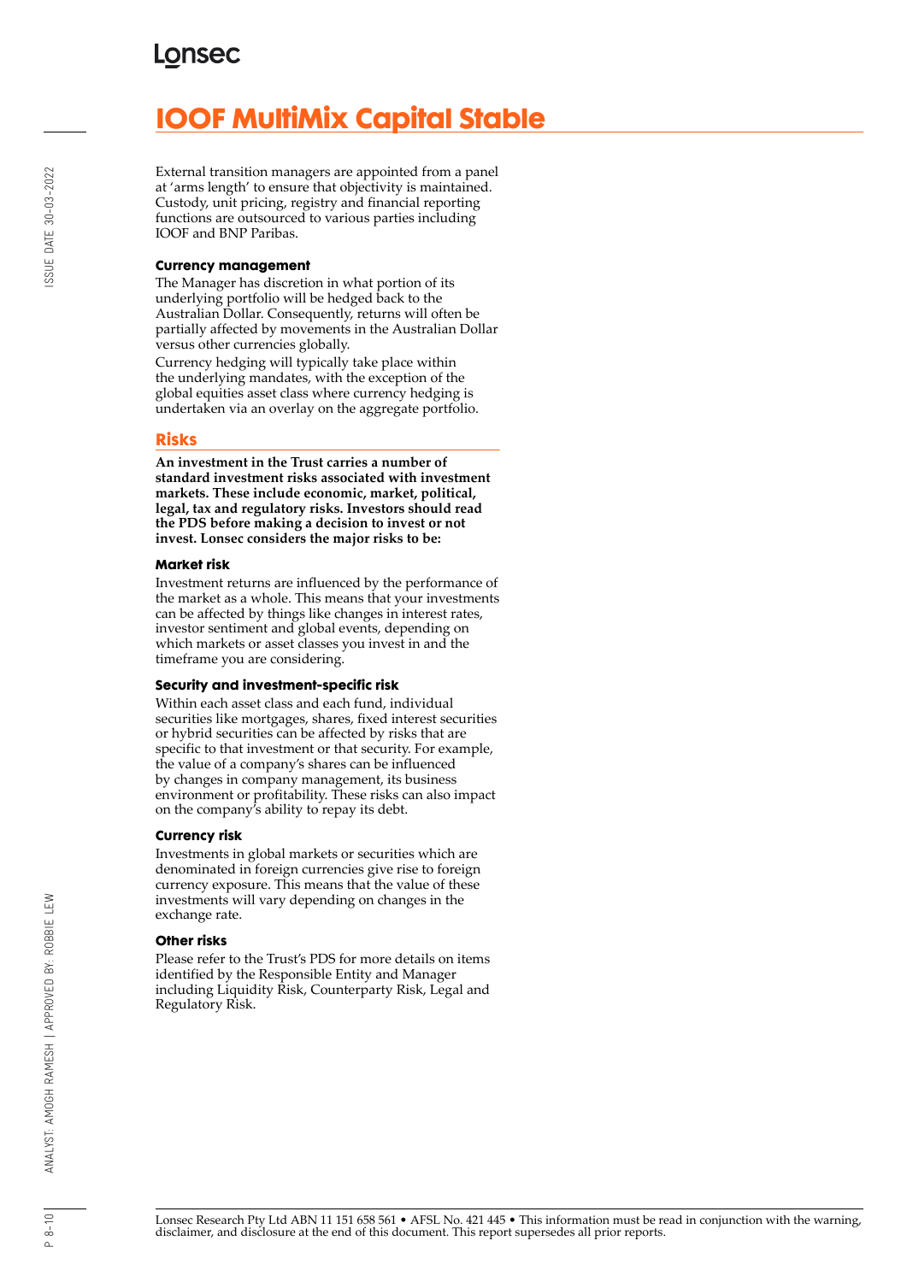## **IOOF MultiMix Capital Stable**

External transition managers are appointed from a panel at 'arms length' to ensure that objectivity is maintained. Custody, unit pricing, registry and financial reporting functions are outsourced to various parties including IOOF and BNP Paribas.

#### **Currency management**

The Manager has discretion in what portion of its underlying portfolio will be hedged back to the Australian Dollar. Consequently, returns will often be partially affected by movements in the Australian Dollar versus other currencies globally.

Currency hedging will typically take place within the underlying mandates, with the exception of the global equities asset class where currency hedging is undertaken via an overlay on the aggregate portfolio.

### **Risks**

**An investment in the Trust carries a number of standard investment risks associated with investment markets. These include economic, market, political, legal, tax and regulatory risks. Investors should read the PDS before making a decision to invest or not invest. Lonsec considers the major risks to be:**

#### **Market risk**

Investment returns are influenced by the performance of the market as a whole. This means that your investments can be affected by things like changes in interest rates, investor sentiment and global events, depending on which markets or asset classes you invest in and the timeframe you are considering.

#### **Security and investment-specific risk**

Within each asset class and each fund, individual securities like mortgages, shares, fixed interest securities or hybrid securities can be affected by risks that are specific to that investment or that security. For example, the value of a company's shares can be influenced by changes in company management, its business environment or profitability. These risks can also impact on the company's ability to repay its debt.

#### **Currency risk**

Investments in global markets or securities which are denominated in foreign currencies give rise to foreign currency exposure. This means that the value of these investments will vary depending on changes in the exchange rate.

#### **Other risks**

Please refer to the Trust's PDS for more details on items identified by the Responsible Entity and Manager including Liquidity Risk, Counterparty Risk, Legal and Regulatory Risk.

SSUE DATE 30-03-2022

ANALYST: AMOGH RAMESH | APPROVED BY: ROBBIE LEW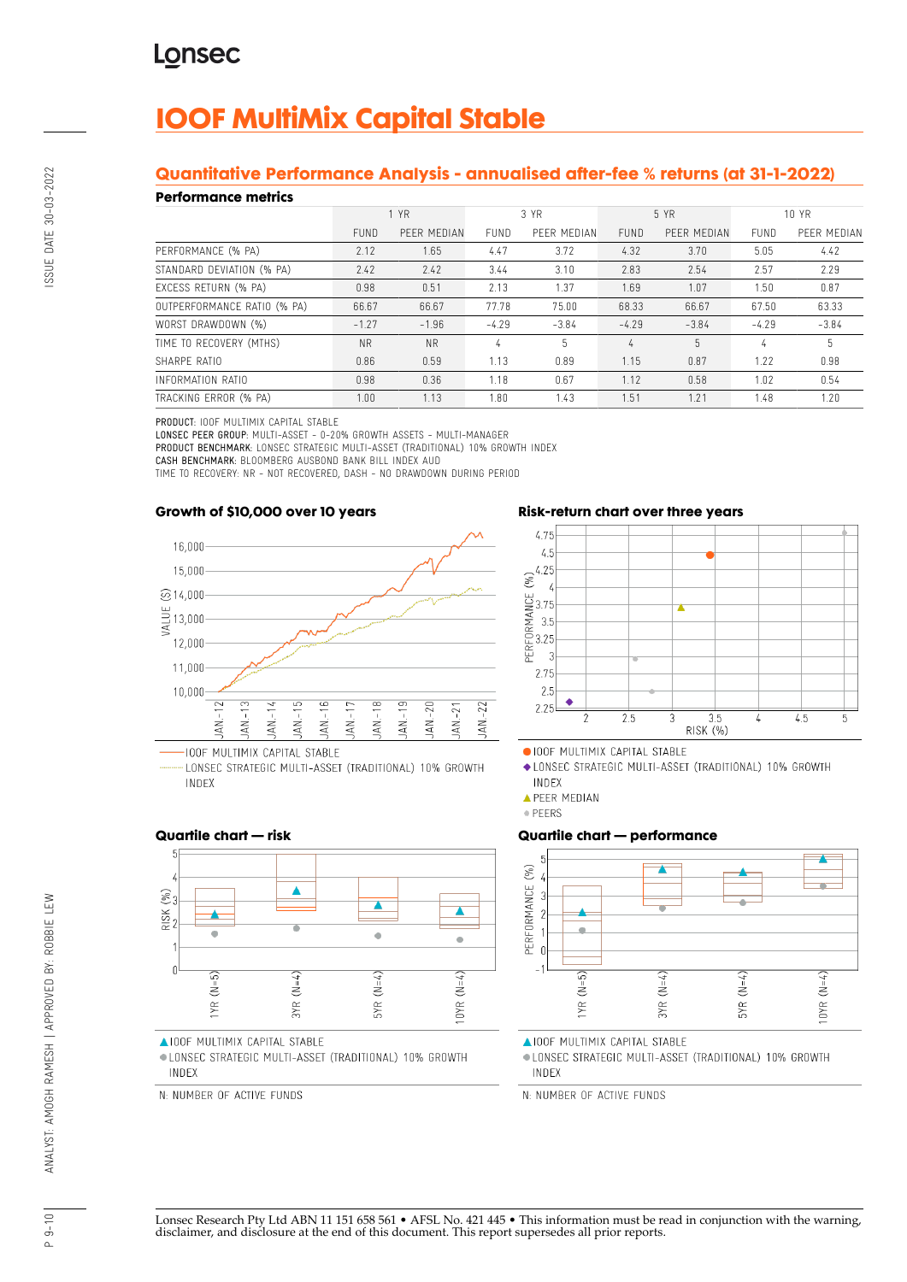## **IOOF MultiMix Capital Stable**

## **Quantitative Performance Analysis - annualised after-fee % returns (at 31-1-2022)**

#### **Performance metrics**

| 1 YR        |             | 3 YR        |             | 5 YR        |             | 10 YR       |             |
|-------------|-------------|-------------|-------------|-------------|-------------|-------------|-------------|
| <b>FUND</b> | PEER MEDIAN | <b>FUND</b> | PEER MEDIAN | <b>FUND</b> | PEER MEDIAN | <b>FUND</b> | PEER MEDIAN |
| 2.12        | 1.65        | 4.47        | 3.72        | 4.32        | 3.70        | 5.05        | 4.42        |
| 2.42        | 2.42        | 3.44        | 3.10        | 2.83        | 2.54        | 2.57        | 2.29        |
| 0.98        | 0.51        | 2.13        | 1.37        | 1.69        | 1.07        | 1.50        | 0.87        |
| 66.67       | 66.67       | 77.78       | 75.00       | 68.33       | 66.67       | 67.50       | 63.33       |
| $-1.27$     | $-1.96$     | $-4.29$     | $-3.84$     | $-4.29$     | $-3.84$     | $-4.29$     | $-3.84$     |
| <b>NR</b>   | <b>NR</b>   | 4           |             | 4           | 5           | 4           | 5           |
| 0.86        | 0.59        | 1.13        | 0.89        | 1.15        | 0.87        | 1.22        | 0.98        |
| 0.98        | 0.36        | 1.18        | 0.67        | 1.12        | 0.58        | 1.02        | 0.54        |
| 1.00        | 1.13        | 1.80        | 1.43        | 1.51        | 1.21        | 1.48        | 1.20        |
|             |             |             |             |             |             |             |             |

PRODUCT: IOOF MULTIMIX CAPITAL STABLE

LONSEC PEER GROUP: MULTI-ASSET - 0-20% GROWTH ASSETS - MULTI-MANAGER

PRODUCT BENCHMARK: LONSEC STRATEGIC MULTI-ASSET (TRADITIONAL) 10% GROWTH INDEX

CASH BENCHMARK: BLOOMBERG AUSBOND BANK BILL INDEX AUD

TIME TO RECOVERY: NR - NOT RECOVERED, DASH - NO DRAWDOWN DURING PERIOD

#### **Growth of \$10,000 over 10 years**



LONSEC STRATEGIC MULTI-ASSET (TRADITIONAL) 10% GROWTH INDEX





OIOOF MULTIMIX CAPITAL STABLE

◆ LONSEC STRATEGIC MULTI-ASSET (TRADITIONAL) 10% GROWTH INDEX

**APEER MEDIAN** 

· PEERS

### **Quartile chart — performance**



**AIOOF MULTIMIX CAPITAL STABLE** 

· LONSEC STRATEGIC MULTI-ASSET (TRADITIONAL) 10% GROWTH INDEX

N: NUMBER OF ACTIVE FUNDS

### **Quartile chart — risk**



AIOOF MULTIMIX CAPITAL STABLE

· LONSEC STRATEGIC MULTI-ASSET (TRADITIONAL) 10% GROWTH INDEX

N: NUMBER OF ACTIVE FUNDS